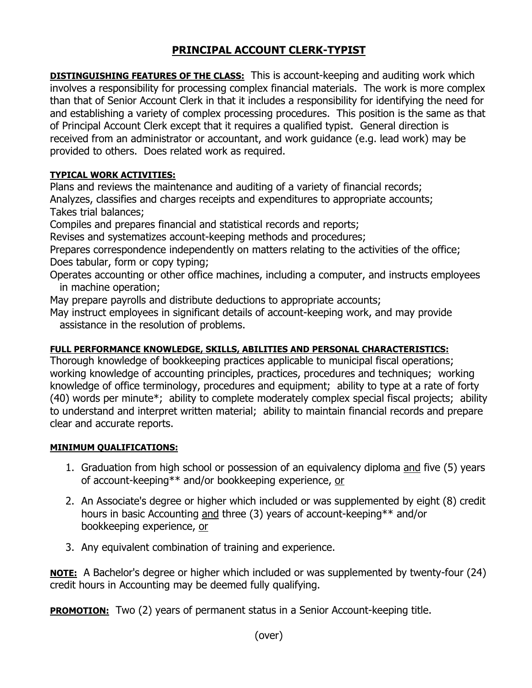## **PRINCIPAL ACCOUNT CLERK-TYPIST**

**DISTINGUISHING FEATURES OF THE CLASS:** This is account-keeping and auditing work which involves a responsibility for processing complex financial materials. The work is more complex than that of Senior Account Clerk in that it includes a responsibility for identifying the need for and establishing a variety of complex processing procedures. This position is the same as that of Principal Account Clerk except that it requires a qualified typist. General direction is received from an administrator or accountant, and work guidance (e.g. lead work) may be provided to others. Does related work as required.

## **TYPICAL WORK ACTIVITIES:**

Plans and reviews the maintenance and auditing of a variety of financial records; Analyzes, classifies and charges receipts and expenditures to appropriate accounts; Takes trial balances;

Compiles and prepares financial and statistical records and reports;

Revises and systematizes account-keeping methods and procedures;

Prepares correspondence independently on matters relating to the activities of the office; Does tabular, form or copy typing;

Operates accounting or other office machines, including a computer, and instructs employees in machine operation;

May prepare payrolls and distribute deductions to appropriate accounts;

May instruct employees in significant details of account-keeping work, and may provide assistance in the resolution of problems.

## **FULL PERFORMANCE KNOWLEDGE, SKILLS, ABILITIES AND PERSONAL CHARACTERISTICS:**

Thorough knowledge of bookkeeping practices applicable to municipal fiscal operations; working knowledge of accounting principles, practices, procedures and techniques; working knowledge of office terminology, procedures and equipment; ability to type at a rate of forty (40) words per minute\*; ability to complete moderately complex special fiscal projects; ability to understand and interpret written material; ability to maintain financial records and prepare clear and accurate reports.

## **MINIMUM QUALIFICATIONS:**

- 1. Graduation from high school or possession of an equivalency diploma and five (5) years of account-keeping\*\* and/or bookkeeping experience, or
- 2. An Associate's degree or higher which included or was supplemented by eight (8) credit hours in basic Accounting and three (3) years of account-keeping\*\* and/or bookkeeping experience, or
- 3. Any equivalent combination of training and experience.

**NOTE:** A Bachelor's degree or higher which included or was supplemented by twenty-four (24) credit hours in Accounting may be deemed fully qualifying.

**PROMOTION:** Two (2) years of permanent status in a Senior Account-keeping title.